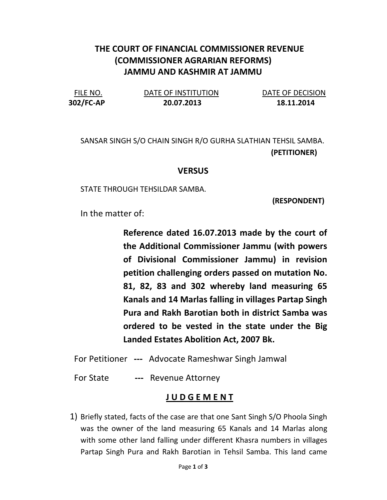## THE COURT OF FINANCIAL COMMISSIONER REVENUE (COMMISSIONER AGRARIAN REFORMS) JAMMU AND KASHMIR AT JAMMU

| FILE NO.  | DATE OF INSTITUTION | DATE OF DECISION |
|-----------|---------------------|------------------|
| 302/FC-AP | 20.07.2013          | 18.11.2014       |

SANSAR SINGH S/O CHAIN SINGH R/O GURHA SLATHIAN TEHSIL SAMBA. (PETITIONER)

## **VERSUS**

STATE THROUGH TEHSILDAR SAMBA.

(RESPONDENT)

In the matter of:

Reference dated 16.07.2013 made by the court of the Additional Commissioner Jammu (with powers of Divisional Commissioner Jammu) in revision petition challenging orders passed on mutation No. 81, 82, 83 and 302 whereby land measuring 65 Kanals and 14 Marlas falling in villages Partap Singh Pura and Rakh Barotian both in district Samba was ordered to be vested in the state under the Big Landed Estates Abolition Act, 2007 Bk.

For Petitioner --- Advocate Rameshwar Singh Jamwal

For State --- Revenue Attorney

## J U D G E M E N T

1) Briefly stated, facts of the case are that one Sant Singh S/O Phoola Singh was the owner of the land measuring 65 Kanals and 14 Marlas along with some other land falling under different Khasra numbers in villages Partap Singh Pura and Rakh Barotian in Tehsil Samba. This land came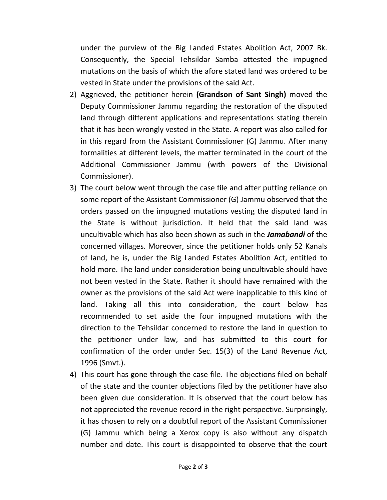under the purview of the Big Landed Estates Abolition Act, 2007 Bk. Consequently, the Special Tehsildar Samba attested the impugned mutations on the basis of which the afore stated land was ordered to be vested in State under the provisions of the said Act.

- 2) Aggrieved, the petitioner herein (Grandson of Sant Singh) moved the Deputy Commissioner Jammu regarding the restoration of the disputed land through different applications and representations stating therein that it has been wrongly vested in the State. A report was also called for in this regard from the Assistant Commissioner (G) Jammu. After many formalities at different levels, the matter terminated in the court of the Additional Commissioner Jammu (with powers of the Divisional Commissioner).
- 3) The court below went through the case file and after putting reliance on some report of the Assistant Commissioner (G) Jammu observed that the orders passed on the impugned mutations vesting the disputed land in the State is without jurisdiction. It held that the said land was uncultivable which has also been shown as such in the **Jamabandi** of the concerned villages. Moreover, since the petitioner holds only 52 Kanals of land, he is, under the Big Landed Estates Abolition Act, entitled to hold more. The land under consideration being uncultivable should have not been vested in the State. Rather it should have remained with the owner as the provisions of the said Act were inapplicable to this kind of land. Taking all this into consideration, the court below has recommended to set aside the four impugned mutations with the direction to the Tehsildar concerned to restore the land in question to the petitioner under law, and has submitted to this court for confirmation of the order under Sec. 15(3) of the Land Revenue Act, 1996 (Smvt.).
- 4) This court has gone through the case file. The objections filed on behalf of the state and the counter objections filed by the petitioner have also been given due consideration. It is observed that the court below has not appreciated the revenue record in the right perspective. Surprisingly, it has chosen to rely on a doubtful report of the Assistant Commissioner (G) Jammu which being a Xerox copy is also without any dispatch number and date. This court is disappointed to observe that the court